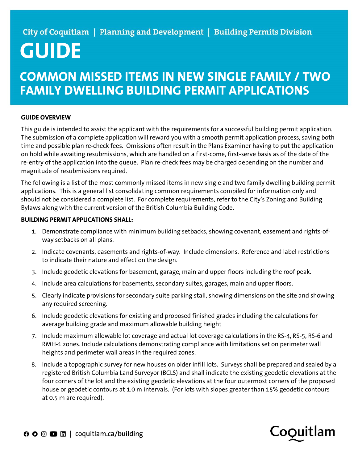## City of Coquitlam | Planning and Development | Building Permits Division

# GUIDE

### COMMON MISSED ITEMS IN NEW SINGLE FAMILY / TWO FAMILY DWELLING BUILDING PERMIT APPLICATIONS

#### GUIDE OVERVIEW

This guide is intended to assist the applicant with the requirements for a successful building permit application. The submission of a complete application will reward you with a smooth permit application process, saving both time and possible plan re-check fees. Omissions often result in the Plans Examiner having to put the application on hold while awaiting resubmissions, which are handled on a first-come, first-serve basis as of the date of the re-entry of the application into the queue. Plan re-check fees may be charged depending on the number and magnitude of resubmissions required.

The following is a list of the most commonly missed items in new single and two family dwelling building permit applications. This is a general list consolidating common requirements compiled for information only and should not be considered a complete list. For complete requirements, refer to the City's Zoning and Building Bylaws along with the current version of the British Columbia Building Code.

#### BUILDING PERMIT APPLICATIONS SHALL:

- 1. Demonstrate compliance with minimum building setbacks, showing covenant, easement and rights-ofway setbacks on all plans.
- 2. Indicate covenants, easements and rights-of-way. Include dimensions. Reference and label restrictions to indicate their nature and effect on the design.
- 3. Include geodetic elevations for basement, garage, main and upper floors including the roof peak.
- 4. Include area calculations for basements, secondary suites, garages, main and upper floors.
- 5. Clearly indicate provisions for secondary suite parking stall, showing dimensions on the site and showing any required screening.
- 6. Include geodetic elevations for existing and proposed finished grades including the calculations for average building grade and maximum allowable building height
- 7. Include maximum allowable lot coverage and actual lot coverage calculations in the RS-4, RS-5, RS-6 and RMH-1 zones. Include calculations demonstrating compliance with limitations set on perimeter wall heights and perimeter wall areas in the required zones.
- 8. Include a topographic survey for new houses on older infill lots. Surveys shall be prepared and sealed by a registered British Columbia Land Surveyor (BCLS) and shall indicate the existing geodetic elevations at the four corners of the lot and the existing geodetic elevations at the four outermost corners of the proposed house or geodetic contours at 1.0 m intervals. (For lots with slopes greater than 15% geodetic contours at 0.5 m are required).